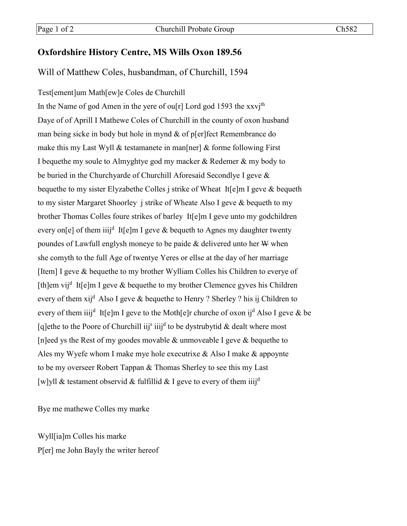## **Oxfordshire History Centre, MS Wills Oxon 189.56**

## Will of Matthew Coles, husbandman, of Churchill, 1594

Test[ement]um Math[ew]e Coles de Churchill In the Name of god Amen in the yere of ou $[r]$  Lord god 1593 the xxvj<sup>th</sup> Daye of of Aprill I Mathewe Coles of Churchill in the county of oxon husband man being sicke in body but hole in mynd & of p[er]fect Remembrance do make this my Last Wyll & testamanete in man[ner] & forme following First I bequethe my soule to Almyghtye god my macker & Redemer & my body to be buried in the Churchyarde of Churchill Aforesaid Secondlye I geve & bequethe to my sister Elyzabethe Colles j strike of Wheat It[e]m I geve & bequeth to my sister Margaret Shoorley j strike of Wheate Also I geve & bequeth to my brother Thomas Colles foure strikes of barley It[e]m I geve unto my godchildren every on[e] of them iiij<sup>d</sup> It[e]m I geve & bequeth to Agnes my daughter twenty poundes of Lawfull englysh moneye to be paide  $&$  delivered unto her  $W$  when she comyth to the full Age of twentye Yeres or ellse at the day of her marriage [Item] I geve & bequethe to my brother Wylliam Colles his Children to everye of [th]em vij<sup>d</sup> It[e]m I geve & bequethe to my brother Clemence gyves his Children every of them  $xij^d$  Also I geve & bequethe to Henry ? Sherley ? his ij Children to every of them iiij<sup>d</sup> It[e]m I geve to the Moth[e]r churche of oxon ij<sup>d</sup> Also I geve & be [q]ethe to the Poore of Churchill iij<sup>s</sup> iiij<sup>d</sup> to be dystrubytid & dealt where most [n]eed ys the Rest of my goodes movable  $\&$  unmoveable I geve  $\&$  bequethe to Ales my Wyefe whom I make mye hole executrixe & Also I make & appoynte to be my overseer Robert Tappan & Thomas Sherley to see this my Last [w]yll & testament observid & fulfillid & I geve to every of them iiij<sup>d</sup>

Bye me mathewe Colles my marke

Wyll[ia]m Colles his marke P[er] me John Bayly the writer hereof